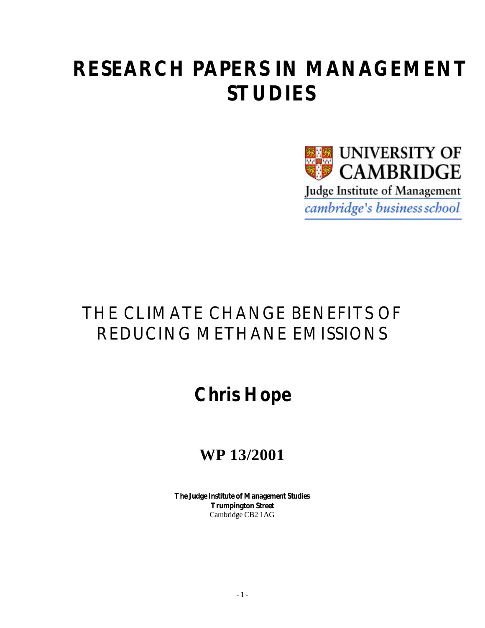# **RESEARCH PAPERS IN MANAGEMENT STUDIES**



## THE CLIMATE CHANGE BENEFITS OF REDUCING METHANE EMISSIONS

# **Chris Hope**

## **WP 13/2001**

**The Judge Institute of Management Studies Trumpington Street** Cambridge CB2 1AG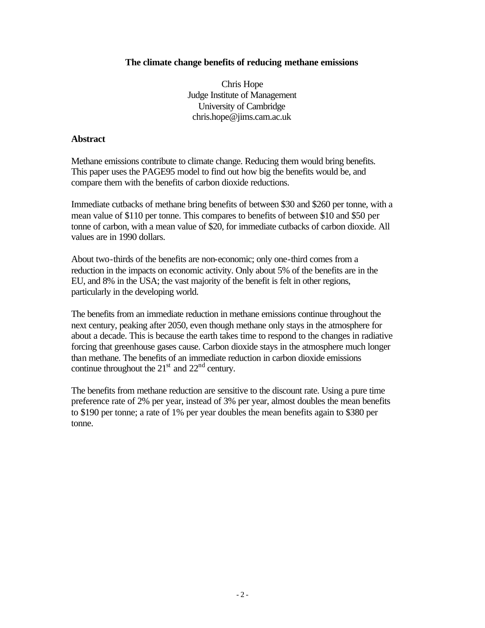#### **The climate change benefits of reducing methane emissions**

Chris Hope Judge Institute of Management University of Cambridge chris.hope@jims.cam.ac.uk

#### **Abstract**

Methane emissions contribute to climate change. Reducing them would bring benefits. This paper uses the PAGE95 model to find out how big the benefits would be, and compare them with the benefits of carbon dioxide reductions.

Immediate cutbacks of methane bring benefits of between \$30 and \$260 per tonne, with a mean value of \$110 per tonne. This compares to benefits of between \$10 and \$50 per tonne of carbon, with a mean value of \$20, for immediate cutbacks of carbon dioxide. All values are in 1990 dollars.

About two-thirds of the benefits are non-economic; only one-third comes from a reduction in the impacts on economic activity. Only about 5% of the benefits are in the EU, and 8% in the USA; the vast majority of the benefit is felt in other regions, particularly in the developing world.

The benefits from an immediate reduction in methane emissions continue throughout the next century, peaking after 2050, even though methane only stays in the atmosphere for about a decade. This is because the earth takes time to respond to the changes in radiative forcing that greenhouse gases cause. Carbon dioxide stays in the atmosphere much longer than methane. The benefits of an immediate reduction in carbon dioxide emissions continue throughout the  $21<sup>st</sup>$  and  $22<sup>nd</sup>$  century.

The benefits from methane reduction are sensitive to the discount rate. Using a pure time preference rate of 2% per year, instead of 3% per year, almost doubles the mean benefits to \$190 per tonne; a rate of 1% per year doubles the mean benefits again to \$380 per tonne.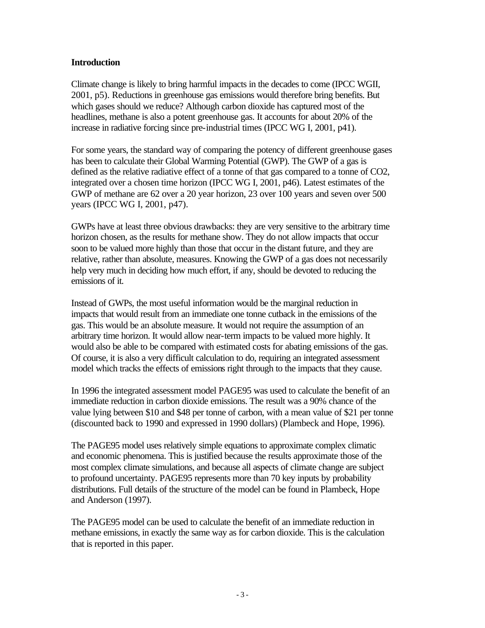## **Introduction**

Climate change is likely to bring harmful impacts in the decades to come (IPCC WGII, 2001, p5). Reductions in greenhouse gas emissions would therefore bring benefits. But which gases should we reduce? Although carbon dioxide has captured most of the headlines, methane is also a potent greenhouse gas. It accounts for about 20% of the increase in radiative forcing since pre-industrial times (IPCC WG I, 2001, p41).

For some years, the standard way of comparing the potency of different greenhouse gases has been to calculate their Global Warming Potential (GWP). The GWP of a gas is defined as the relative radiative effect of a tonne of that gas compared to a tonne of CO2, integrated over a chosen time horizon (IPCC WG I, 2001, p46). Latest estimates of the GWP of methane are 62 over a 20 year horizon, 23 over 100 years and seven over 500 years (IPCC WG I, 2001, p47).

GWPs have at least three obvious drawbacks: they are very sensitive to the arbitrary time horizon chosen, as the results for methane show. They do not allow impacts that occur soon to be valued more highly than those that occur in the distant future, and they are relative, rather than absolute, measures. Knowing the GWP of a gas does not necessarily help very much in deciding how much effort, if any, should be devoted to reducing the emissions of it.

Instead of GWPs, the most useful information would be the marginal reduction in impacts that would result from an immediate one tonne cutback in the emissions of the gas. This would be an absolute measure. It would not require the assumption of an arbitrary time horizon. It would allow near-term impacts to be valued more highly. It would also be able to be compared with estimated costs for abating emissions of the gas. Of course, it is also a very difficult calculation to do, requiring an integrated assessment model which tracks the effects of emissions right through to the impacts that they cause.

In 1996 the integrated assessment model PAGE95 was used to calculate the benefit of an immediate reduction in carbon dioxide emissions. The result was a 90% chance of the value lying between \$10 and \$48 per tonne of carbon, with a mean value of \$21 per tonne (discounted back to 1990 and expressed in 1990 dollars) (Plambeck and Hope, 1996).

The PAGE95 model uses relatively simple equations to approximate complex climatic and economic phenomena. This is justified because the results approximate those of the most complex climate simulations, and because all aspects of climate change are subject to profound uncertainty. PAGE95 represents more than 70 key inputs by probability distributions. Full details of the structure of the model can be found in Plambeck, Hope and Anderson (1997).

The PAGE95 model can be used to calculate the benefit of an immediate reduction in methane emissions, in exactly the same way as for carbon dioxide. This is the calculation that is reported in this paper.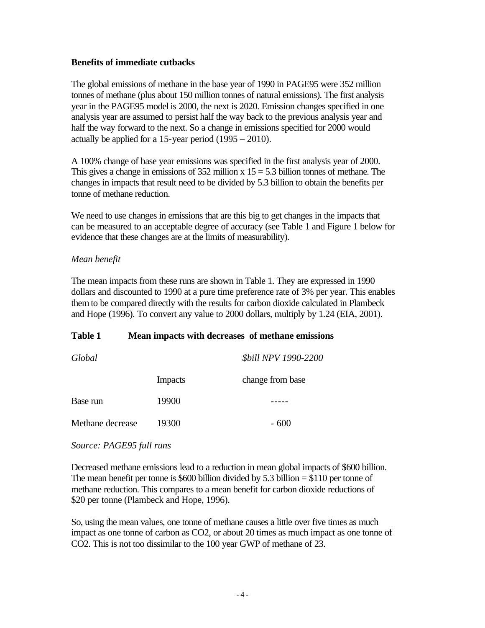## **Benefits of immediate cutbacks**

The global emissions of methane in the base year of 1990 in PAGE95 were 352 million tonnes of methane (plus about 150 million tonnes of natural emissions). The first analysis year in the PAGE95 model is 2000, the next is 2020. Emission changes specified in one analysis year are assumed to persist half the way back to the previous analysis year and half the way forward to the next. So a change in emissions specified for 2000 would actually be applied for a 15-year period (1995 – 2010).

A 100% change of base year emissions was specified in the first analysis year of 2000. This gives a change in emissions of  $352$  million x  $15 = 5.3$  billion tonnes of methane. The changes in impacts that result need to be divided by 5.3 billion to obtain the benefits per tonne of methane reduction.

We need to use changes in emissions that are this big to get changes in the impacts that can be measured to an acceptable degree of accuracy (see Table 1 and Figure 1 below for evidence that these changes are at the limits of measurability).

## *Mean benefit*

The mean impacts from these runs are shown in Table 1. They are expressed in 1990 dollars and discounted to 1990 at a pure time preference rate of 3% per year. This enables them to be compared directly with the results for carbon dioxide calculated in Plambeck and Hope (1996). To convert any value to 2000 dollars, multiply by 1.24 (EIA, 2001).

## **Table 1 Mean impacts with decreases of methane emissions**

| Global           |                | <i><b>\$bill NPV 1990-2200</b></i> |  |
|------------------|----------------|------------------------------------|--|
|                  | <b>Impacts</b> | change from base                   |  |
| Base run         | 19900          |                                    |  |
| Methane decrease | 19300          | $-600$                             |  |

## *Source: PAGE95 full runs*

Decreased methane emissions lead to a reduction in mean global impacts of \$600 billion. The mean benefit per tonne is \$600 billion divided by 5.3 billion  $= $110$  per tonne of methane reduction. This compares to a mean benefit for carbon dioxide reductions of \$20 per tonne (Plambeck and Hope, 1996).

So, using the mean values, one tonne of methane causes a little over five times as much impact as one tonne of carbon as CO2, or about 20 times as much impact as one tonne of CO2. This is not too dissimilar to the 100 year GWP of methane of 23.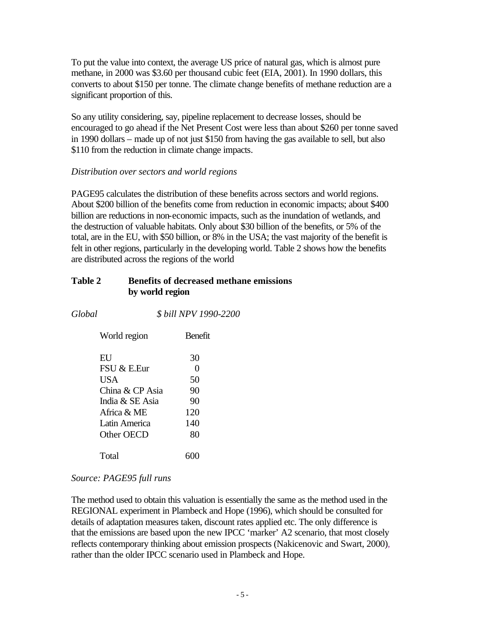To put the value into context, the average US price of natural gas, which is almost pure methane, in 2000 was \$3.60 per thousand cubic feet (EIA, 2001). In 1990 dollars, this converts to about \$150 per tonne. The climate change benefits of methane reduction are a significant proportion of this.

So any utility considering, say, pipeline replacement to decrease losses, should be encouraged to go ahead if the Net Present Cost were less than about \$260 per tonne saved in 1990 dollars – made up of not just \$150 from having the gas available to sell, but also \$110 from the reduction in climate change impacts.

## *Distribution over sectors and world regions*

PAGE95 calculates the distribution of these benefits across sectors and world regions. About \$200 billion of the benefits come from reduction in economic impacts; about \$400 billion are reductions in non-economic impacts, such as the inundation of wetlands, and the destruction of valuable habitats. Only about \$30 billion of the benefits, or 5% of the total, are in the EU, with \$50 billion, or 8% in the USA; the vast majority of the benefit is felt in other regions, particularly in the developing world. Table 2 shows how the benefits are distributed across the regions of the world

## **Table 2 Benefits of decreased methane emissions by world region**

*Global \$ bill NPV 1990-2200*

| World region                                                                                   | <b>Benefit</b>                          |
|------------------------------------------------------------------------------------------------|-----------------------------------------|
| ЕU<br>FSU & E.Eur<br>USA<br>China & CP Asia<br>India & SE Asia<br>Africa & ME<br>Latin America | 30<br>0<br>50<br>90<br>90<br>120<br>140 |
| Other OECD<br>Total                                                                            | 80                                      |

## *Source: PAGE95 full runs*

The method used to obtain this valuation is essentially the same as the method used in the REGIONAL experiment in Plambeck and Hope (1996), which should be consulted for details of adaptation measures taken, discount rates applied etc. The only difference is that the emissions are based upon the new IPCC 'marker' A2 scenario, that most closely reflects contemporary thinking about emission prospects (Nakicenovic and Swart, 2000), rather than the older IPCC scenario used in Plambeck and Hope.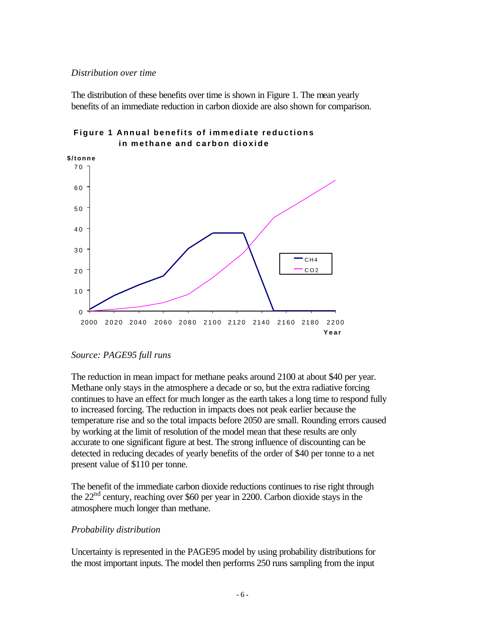#### *Distribution over time*

The distribution of these benefits over time is shown in Figure 1. The mean yearly benefits of an immediate reduction in carbon dioxide are also shown for comparison.



## **Figure 1 Annual benefits of immediate reductions in methane and carbon dioxide**

## *Source: PAGE95 full runs*

The reduction in mean impact for methane peaks around 2100 at about \$40 per year. Methane only stays in the atmosphere a decade or so, but the extra radiative forcing continues to have an effect for much longer as the earth takes a long time to respond fully to increased forcing. The reduction in impacts does not peak earlier because the temperature rise and so the total impacts before 2050 are small. Rounding errors caused by working at the limit of resolution of the model mean that these results are only accurate to one significant figure at best. The strong influence of discounting can be detected in reducing decades of yearly benefits of the order of \$40 per tonne to a net present value of \$110 per tonne.

The benefit of the immediate carbon dioxide reductions continues to rise right through the  $22<sup>nd</sup>$  century, reaching over \$60 per year in 2200. Carbon dioxide stays in the atmosphere much longer than methane.

## *Probability distribution*

Uncertainty is represented in the PAGE95 model by using probability distributions for the most important inputs. The model then performs 250 runs sampling from the input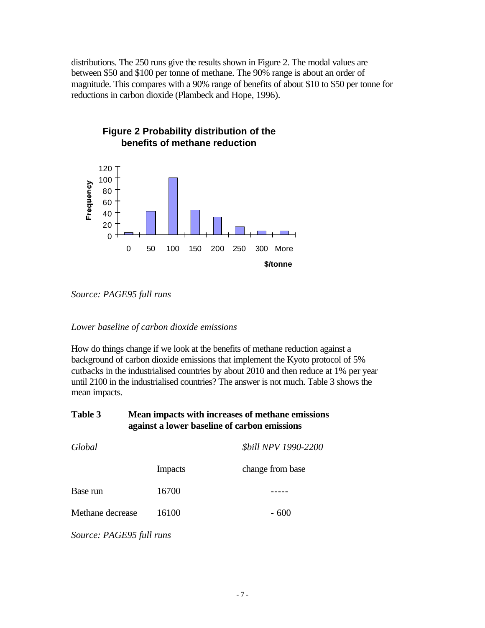distributions. The 250 runs give the results shown in Figure 2. The modal values are between \$50 and \$100 per tonne of methane. The 90% range is about an order of magnitude. This compares with a 90% range of benefits of about \$10 to \$50 per tonne for reductions in carbon dioxide (Plambeck and Hope, 1996).



*Source: PAGE95 full runs*

## *Lower baseline of carbon dioxide emissions*

How do things change if we look at the benefits of methane reduction against a background of carbon dioxide emissions that implement the Kyoto protocol of 5% cutbacks in the industrialised countries by about 2010 and then reduce at 1% per year until 2100 in the industrialised countries? The answer is not much. Table 3 shows the mean impacts.

| Table 3          | Mean impacts with increases of methane emissions<br>against a lower baseline of carbon emissions |                                    |  |
|------------------|--------------------------------------------------------------------------------------------------|------------------------------------|--|
| Global           |                                                                                                  | <b><i>\$bill NPV 1990-2200</i></b> |  |
|                  | <b>Impacts</b>                                                                                   | change from base                   |  |
| Base run         | 16700                                                                                            |                                    |  |
| Methane decrease | 16100                                                                                            | $-600$                             |  |

*Source: PAGE95 full runs*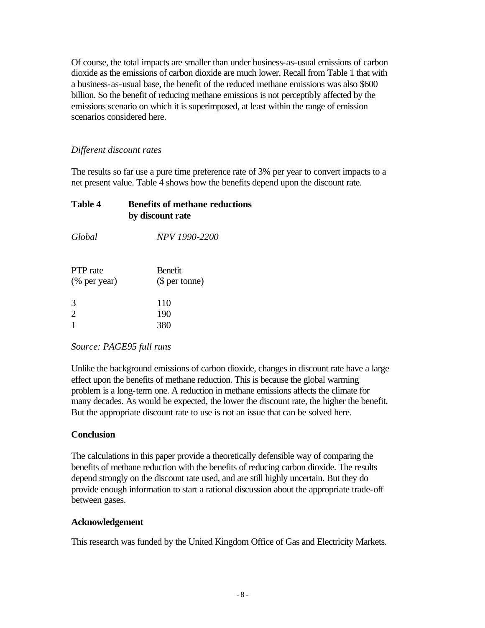Of course, the total impacts are smaller than under business-as-usual emissions of carbon dioxide as the emissions of carbon dioxide are much lower. Recall from Table 1 that with a business-as-usual base, the benefit of the reduced methane emissions was also \$600 billion. So the benefit of reducing methane emissions is not perceptibly affected by the emissions scenario on which it is superimposed, at least within the range of emission scenarios considered here.

## *Different discount rates*

The results so far use a pure time preference rate of 3% per year to convert impacts to a net present value. Table 4 shows how the benefits depend upon the discount rate.

## **Table 4 Benefits of methane reductions by discount rate**

*Global NPV 1990-2200*

| PTP rate     | <b>Benefit</b> |
|--------------|----------------|
| (% per year) | (\$ per tonne) |
|              |                |
| 3            | 110            |
| 2            | 190            |
|              | 380            |

## *Source: PAGE95 full runs*

Unlike the background emissions of carbon dioxide, changes in discount rate have a large effect upon the benefits of methane reduction. This is because the global warming problem is a long-term one. A reduction in methane emissions affects the climate for many decades. As would be expected, the lower the discount rate, the higher the benefit. But the appropriate discount rate to use is not an issue that can be solved here.

## **Conclusion**

The calculations in this paper provide a theoretically defensible way of comparing the benefits of methane reduction with the benefits of reducing carbon dioxide. The results depend strongly on the discount rate used, and are still highly uncertain. But they do provide enough information to start a rational discussion about the appropriate trade-off between gases.

## **Acknowledgement**

This research was funded by the United Kingdom Office of Gas and Electricity Markets.